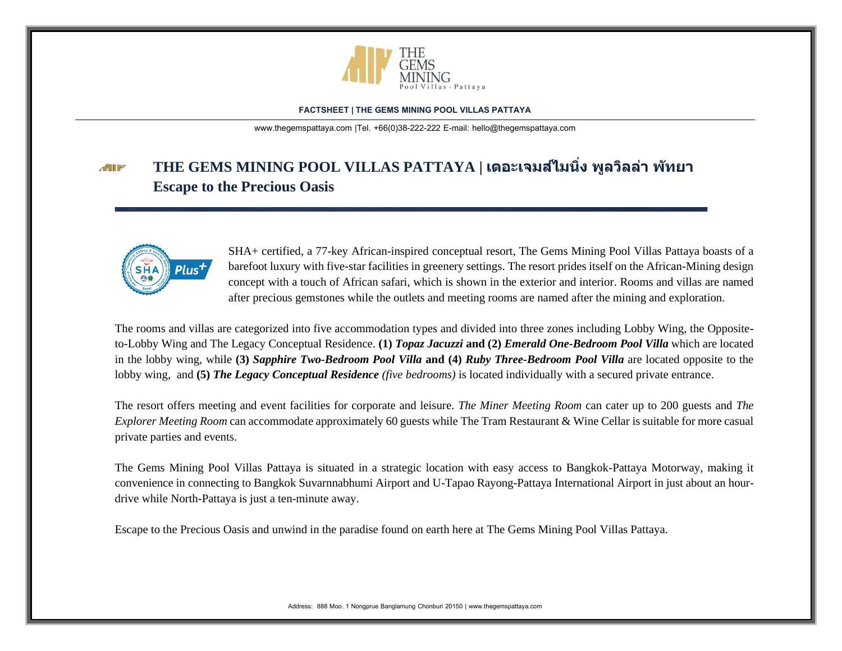

[www.thegemspattaya.com](http://www.thegemspattaya.com/) |Tel. +66(0)38-222-222 E-mail: hello@thegemspattaya.com

### **THE GEMS MINING POOL VILLAS PATTAYA | เดอะเจมสไ์มนง พูลวิลล่ ิ่ า พัทยา ATT Escape to the Precious Oasis**



SHA+ certified, a 77-key African-inspired conceptual resort, The Gems Mining Pool Villas Pattaya boasts of a barefoot luxury with five-star facilities in greenery settings. The resort prides itself on the African-Mining design concept with a touch of African safari, which is shown in the exterior and interior. Rooms and villas are named after precious gemstones while the outlets and meeting rooms are named after the mining and exploration.

The rooms and villas are categorized into five accommodation types and divided into three zones including Lobby Wing, the Oppositeto-Lobby Wing and The Legacy Conceptual Residence. **(1)** *Topaz Jacuzzi* **and (2)** *Emerald One-Bedroom Pool Villa* which are located in the lobby wing, while **(3)** *Sapphire Two-Bedroom Pool Villa* **and (4)** *Ruby Three-Bedroom Pool Villa* are located opposite to the lobby wing, and **(5)** *The Legacy Conceptual Residence (five bedrooms)* is located individually with a secured private entrance.

The resort offers meeting and event facilities for corporate and leisure. *The Miner Meeting Room* can cater up to 200 guests and *The Explorer Meeting Room* can accommodate approximately 60 guests while The Tram Restaurant & Wine Cellar is suitable for more casual private parties and events.

The Gems Mining Pool Villas Pattaya is situated in a strategic location with easy access to Bangkok-Pattaya Motorway, making it convenience in connecting to Bangkok Suvarnnabhumi Airport and U-Tapao Rayong-Pattaya International Airport in just about an hourdrive while North-Pattaya is just a ten-minute away.

Escape to the Precious Oasis and unwind in the paradise found on earth here at The Gems Mining Pool Villas Pattaya.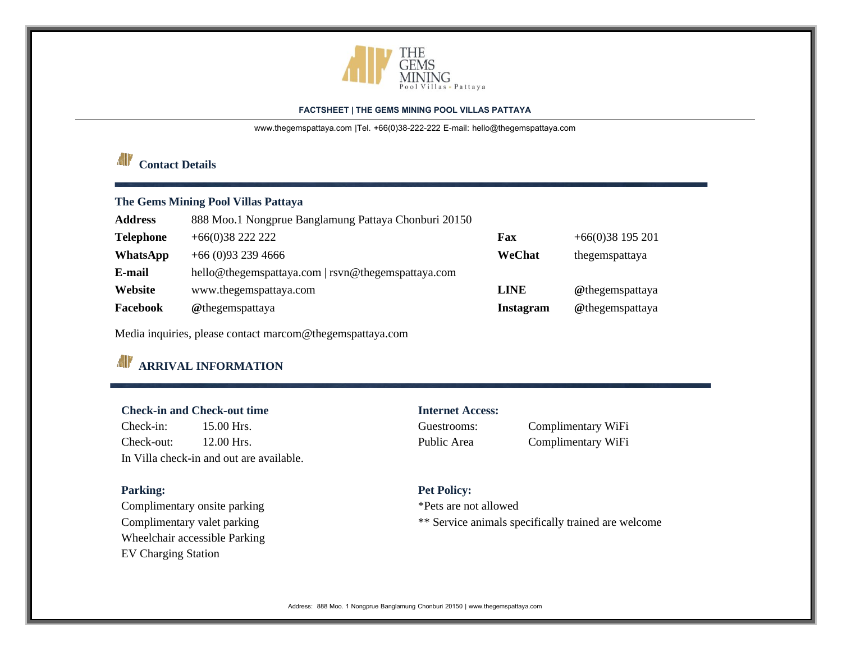

[www.thegemspattaya.com](http://www.thegemspattaya.com/) |Tel. +66(0)38-222-222 E-mail: hello@thegemspattaya.com

# *Contact Details*

# **The Gems Mining Pool Villas Pattaya**

| <b>Address</b>   | 888 Moo.1 Nongprue Banglamung Pattaya Chonburi 20150 |                  |                    |
|------------------|------------------------------------------------------|------------------|--------------------|
| <b>Telephone</b> | $+66(0)3822222$                                      | Fax              | $+66(0)38$ 195 201 |
| WhatsApp         | $+66(0)932394666$                                    | WeChat           | thegemspattaya     |
| E-mail           | hello@thegemspattaya.com   rsvn@thegemspattaya.com   |                  |                    |
| Website          | www.thegemspattaya.com                               | <b>LINE</b>      | @thegemspattaya    |
| Facebook         | @thegemspattaya                                      | <b>Instagram</b> | @thegemspattaya    |

Media inquiries, please contact marcom@thegemspattaya.com

# **ARRIVAL INFORMATION**

# **Check-in and Check-out time Internet Access:**

Check-in: 15.00 Hrs. Guestrooms: Complimentary WiFi Check-out: 12.00 Hrs. Public Area Complimentary WiFi In Villa check-in and out are available.

Complimentary onsite parking \*Pets are not allowed Wheelchair accessible Parking EV Charging Station

# Parking: Parking: **Parking:** Pet Policy:

Complimentary valet parking  $**$  Service animals specifically trained are welcome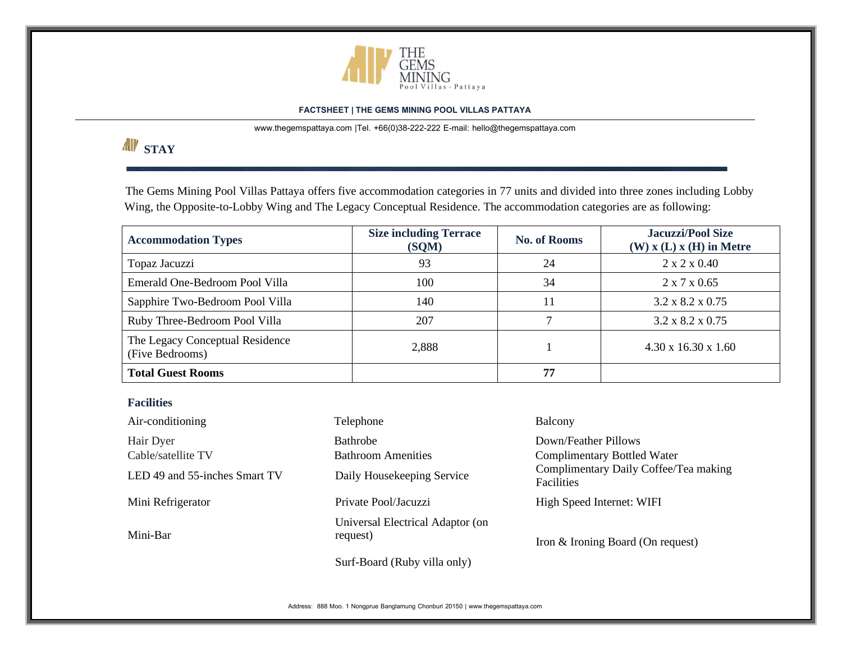

[www.thegemspattaya.com](http://www.thegemspattaya.com/) |Tel. +66(0)38-222-222 E-mail: hello@thegemspattaya.com

# **AV** STAY

The Gems Mining Pool Villas Pattaya offers five accommodation categories in 77 units and divided into three zones including Lobby Wing, the Opposite-to-Lobby Wing and The Legacy Conceptual Residence. The accommodation categories are as following:

| <b>Accommodation Types</b>                         | <b>Size including Terrace</b><br>(SQM) | <b>No. of Rooms</b> | <b>Jacuzzi/Pool Size</b><br>$(W)$ x $(L)$ x $(H)$ in Metre |
|----------------------------------------------------|----------------------------------------|---------------------|------------------------------------------------------------|
| Topaz Jacuzzi                                      | 93                                     | 24                  | $2 \times 2 \times 0.40$                                   |
| Emerald One-Bedroom Pool Villa                     | 100                                    | 34                  | $2 \times 7 \times 0.65$                                   |
| Sapphire Two-Bedroom Pool Villa                    | 140                                    | 11                  | $3.2 \times 8.2 \times 0.75$                               |
| Ruby Three-Bedroom Pool Villa                      | 207                                    |                     | $3.2 \times 8.2 \times 0.75$                               |
| The Legacy Conceptual Residence<br>(Five Bedrooms) | 2,888                                  |                     | $4.30 \times 16.30 \times 1.60$                            |
| <b>Total Guest Rooms</b>                           |                                        | 77                  |                                                            |

# **Facilities**

| Air-conditioning                                                 | Telephone                                                                  | Balcony                                                                                                                  |
|------------------------------------------------------------------|----------------------------------------------------------------------------|--------------------------------------------------------------------------------------------------------------------------|
| Hair Dyer<br>Cable/satellite TV<br>LED 49 and 55-inches Smart TV | <b>Bathrobe</b><br><b>Bathroom Amenities</b><br>Daily Housekeeping Service | Down/Feather Pillows<br><b>Complimentary Bottled Water</b><br>Complimentary Daily Coffee/Tea making<br><b>Facilities</b> |
| Mini Refrigerator                                                | Private Pool/Jacuzzi                                                       | High Speed Internet: WIFI                                                                                                |
| Mini-Bar                                                         | Universal Electrical Adaptor (on<br>request)                               | Iron & Ironing Board (On request)                                                                                        |
|                                                                  | Surf-Board (Ruby villa only)                                               |                                                                                                                          |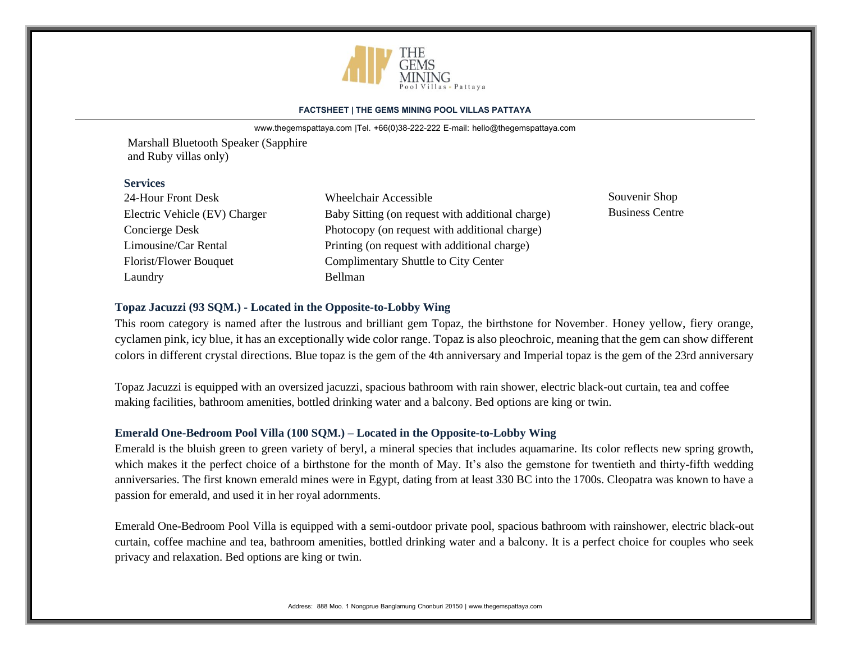

[www.thegemspattaya.com](http://www.thegemspattaya.com/) |Tel. +66(0)38-222-222 E-mail: hello@thegemspattaya.com

Marshall Bluetooth Speaker (Sapphire and Ruby villas only)

### **Services**

| 24-Hour Front Desk            | <b>Wheelchair Accessible</b>                     | Souvenir Shop          |
|-------------------------------|--------------------------------------------------|------------------------|
| Electric Vehicle (EV) Charger | Baby Sitting (on request with additional charge) | <b>Business Centre</b> |
| Concierge Desk                | Photocopy (on request with additional charge)    |                        |
| Limousine/Car Rental          | Printing (on request with additional charge)     |                        |
| Florist/Flower Bouquet        | Complimentary Shuttle to City Center             |                        |
| Laundry                       | <b>Bellman</b>                                   |                        |

# **Topaz Jacuzzi (93 SQM.) - Located in the Opposite-to-Lobby Wing**

This room category is named after the lustrous and brilliant gem Topaz, the birthstone for November. Honey yellow, fiery orange, cyclamen pink, icy blue, it has an exceptionally wide color range. Topaz is also pleochroic, meaning that the gem can show different colors in different crystal directions. Blue topaz is the gem of the 4th anniversary and Imperial topaz is the gem of the 23rd anniversary

Topaz Jacuzzi is equipped with an oversized jacuzzi, spacious bathroom with rain shower, electric black-out curtain, tea and coffee making facilities, bathroom amenities, bottled drinking water and a balcony. Bed options are king or twin.

# **Emerald One-Bedroom Pool Villa (100 SQM.) – Located in the Opposite-to-Lobby Wing**

Emerald is the bluish green to green variety of beryl, a mineral species that includes aquamarine. Its color reflects new spring growth, which makes it the perfect choice of a birthstone for the month of May. It's also the gemstone for twentieth and thirty-fifth wedding anniversaries. The first known emerald mines were in Egypt, dating from at least 330 BC into the 1700s. Cleopatra was known to have a passion for emerald, and used it in her royal adornments.

Emerald One-Bedroom Pool Villa is equipped with a semi-outdoor private pool, spacious bathroom with rainshower, electric black-out curtain, coffee machine and tea, bathroom amenities, bottled drinking water and a balcony. It is a perfect choice for couples who seek privacy and relaxation. Bed options are king or twin.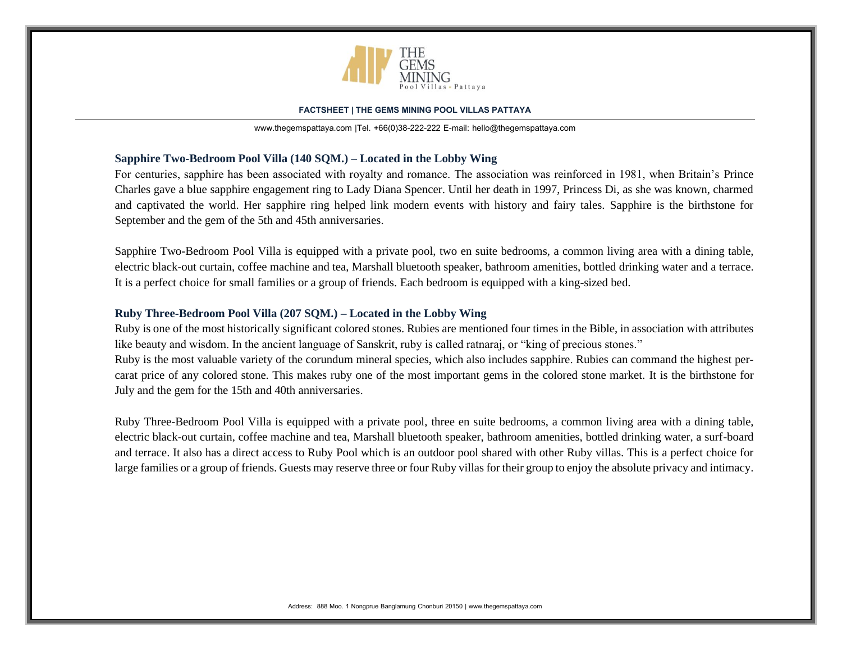

[www.thegemspattaya.com](http://www.thegemspattaya.com/) |Tel. +66(0)38-222-222 E-mail: hello@thegemspattaya.com

# **Sapphire Two-Bedroom Pool Villa (140 SQM.) – Located in the Lobby Wing**

For centuries, sapphire has been associated with royalty and romance. The association was reinforced in 1981, when Britain's Prince Charles gave a blue sapphire engagement ring to Lady Diana Spencer. Until her death in 1997, Princess Di, as she was known, charmed and captivated the world. Her sapphire ring helped link modern events with history and fairy tales. Sapphire is the birthstone for September and the gem of the 5th and 45th anniversaries.

Sapphire Two-Bedroom Pool Villa is equipped with a private pool, two en suite bedrooms, a common living area with a dining table, electric black-out curtain, coffee machine and tea, Marshall bluetooth speaker, bathroom amenities, bottled drinking water and a terrace. It is a perfect choice for small families or a group of friends. Each bedroom is equipped with a king-sized bed.

# **Ruby Three-Bedroom Pool Villa (207 SQM.) – Located in the Lobby Wing**

Ruby is one of the most historically significant colored stones. Rubies are mentioned four times in the Bible, in association with attributes like beauty and wisdom. In the ancient language of Sanskrit, ruby is called ratnaraj, or "king of precious stones." Ruby is the most valuable variety of the corundum mineral species, which also includes sapphire. Rubies can command the highest percarat price of any colored stone. This makes ruby one of the most important gems in the colored stone market. It is the birthstone for July and the gem for the 15th and 40th anniversaries.

Ruby Three-Bedroom Pool Villa is equipped with a private pool, three en suite bedrooms, a common living area with a dining table, electric black-out curtain, coffee machine and tea, Marshall bluetooth speaker, bathroom amenities, bottled drinking water, a surf-board and terrace. It also has a direct access to Ruby Pool which is an outdoor pool shared with other Ruby villas. This is a perfect choice for large families or a group of friends. Guests may reserve three or four Ruby villas for their group to enjoy the absolute privacy and intimacy.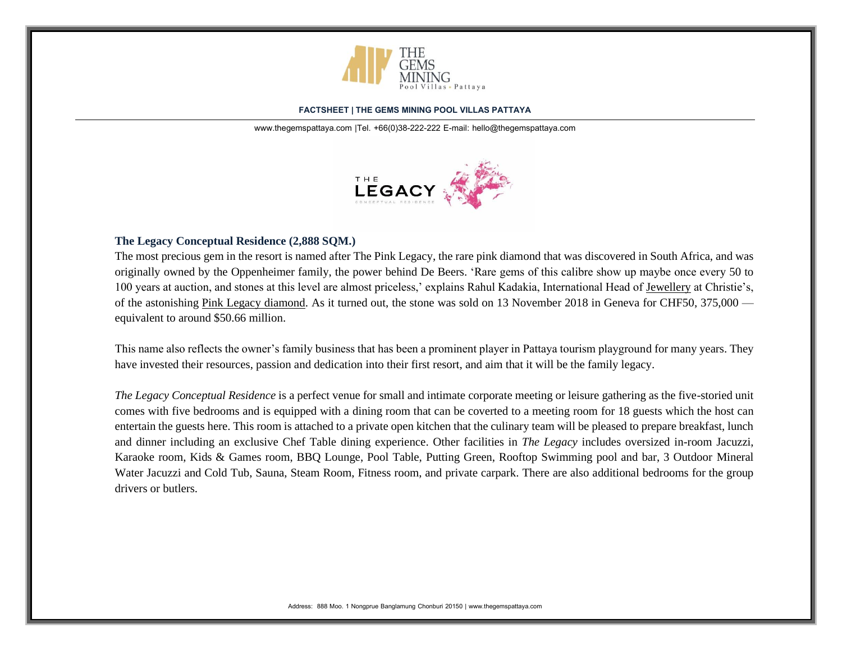

[www.thegemspattaya.com](http://www.thegemspattaya.com/) |Tel. +66(0)38-222-222 E-mail: hello@thegemspattaya.com



# **The Legacy Conceptual Residence (2,888 SQM.)**

The most precious gem in the resort is named after The Pink Legacy, the rare pink diamond that was discovered in South Africa, and was originally owned by the Oppenheimer family, the power behind De Beers. 'Rare gems of this calibre show up maybe once every 50 to 100 years at auction, and stones at this level are almost priceless,' explains Rahul Kadakia, International Head of [Jewellery](https://www.christies.com/departments/Jewellery-33-1.aspx) at Christie's, of the astonishing [Pink Legacy diamond.](https://www.christies.com/lotfinder/jewelry/the-pink-legacy-a-sensational-coloured-6164899-details.aspx?from=salesummary&intObjectID=6164899&lid=1) As it turned out, the stone was sold on 13 November 2018 in Geneva for CHF50, 375,000 equivalent to around \$50.66 million.

This name also reflects the owner's family business that has been a prominent player in Pattaya tourism playground for many years. They have invested their resources, passion and dedication into their first resort, and aim that it will be the family legacy.

*The Legacy Conceptual Residence* is a perfect venue for small and intimate corporate meeting or leisure gathering as the five-storied unit comes with five bedrooms and is equipped with a dining room that can be coverted to a meeting room for 18 guests which the host can entertain the guests here. This room is attached to a private open kitchen that the culinary team will be pleased to prepare breakfast, lunch and dinner including an exclusive Chef Table dining experience. Other facilities in *The Legacy* includes oversized in-room Jacuzzi, Karaoke room, Kids & Games room, BBQ Lounge, Pool Table, Putting Green, Rooftop Swimming pool and bar, 3 Outdoor Mineral Water Jacuzzi and Cold Tub, Sauna, Steam Room, Fitness room, and private carpark. There are also additional bedrooms for the group drivers or butlers.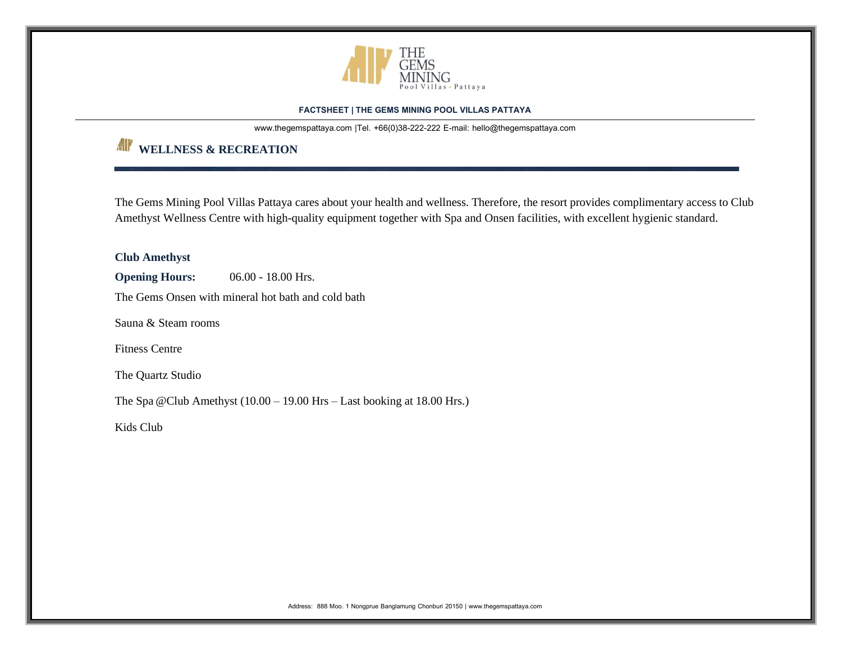

[www.thegemspattaya.com](http://www.thegemspattaya.com/) |Tel. +66(0)38-222-222 E-mail: hello@thegemspattaya.com

# **WELLNESS & RECREATION**

The Gems Mining Pool Villas Pattaya cares about your health and wellness. Therefore, the resort provides complimentary access to Club Amethyst Wellness Centre with high-quality equipment together with Spa and Onsen facilities, with excellent hygienic standard.

**Club Amethyst Opening Hours:** 06.00 - 18.00 Hrs. The Gems Onsen with mineral hot bath and cold bath Sauna & Steam rooms Fitness Centre The Quartz Studio The Spa @Club Amethyst (10.00 – 19.00 Hrs – Last booking at 18.00 Hrs.) Kids Club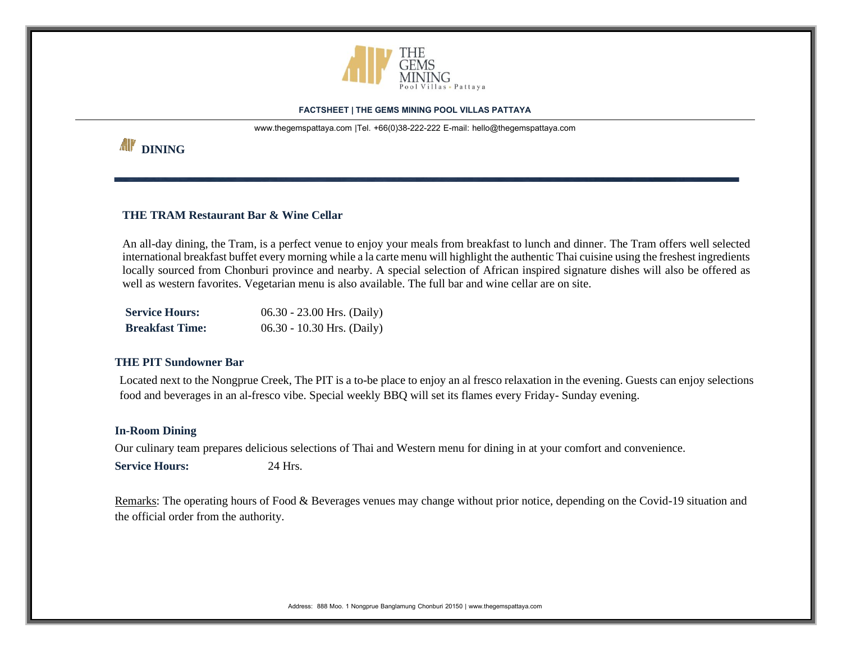

[www.thegemspattaya.com](http://www.thegemspattaya.com/) |Tel. +66(0)38-222-222 E-mail: hello@thegemspattaya.com

# *All'* DINING

# **THE TRAM Restaurant Bar & Wine Cellar**

An all-day dining, the Tram, is a perfect venue to enjoy your meals from breakfast to lunch and dinner. The Tram offers well selected international breakfast buffet every morning while a la carte menu will highlight the authentic Thai cuisine using the freshest ingredients locally sourced from Chonburi province and nearby. A special selection of African inspired signature dishes will also be offered as well as western favorites. Vegetarian menu is also available. The full bar and wine cellar are on site.

| <b>Service Hours:</b>  | $06.30 - 23.00$ Hrs. (Daily) |
|------------------------|------------------------------|
| <b>Breakfast Time:</b> | $06.30 - 10.30$ Hrs. (Daily) |

# **THE PIT Sundowner Bar**

Located next to the Nongprue Creek, The PIT is a to-be place to enjoy an al fresco relaxation in the evening. Guests can enjoy selections food and beverages in an al-fresco vibe. Special weekly BBQ will set its flames every Friday- Sunday evening.

# **In-Room Dining**

Our culinary team prepares delicious selections of Thai and Western menu for dining in at your comfort and convenience. **Service Hours:** 24 Hrs.

Remarks: The operating hours of Food & Beverages venues may change without prior notice, depending on the Covid-19 situation and the official order from the authority.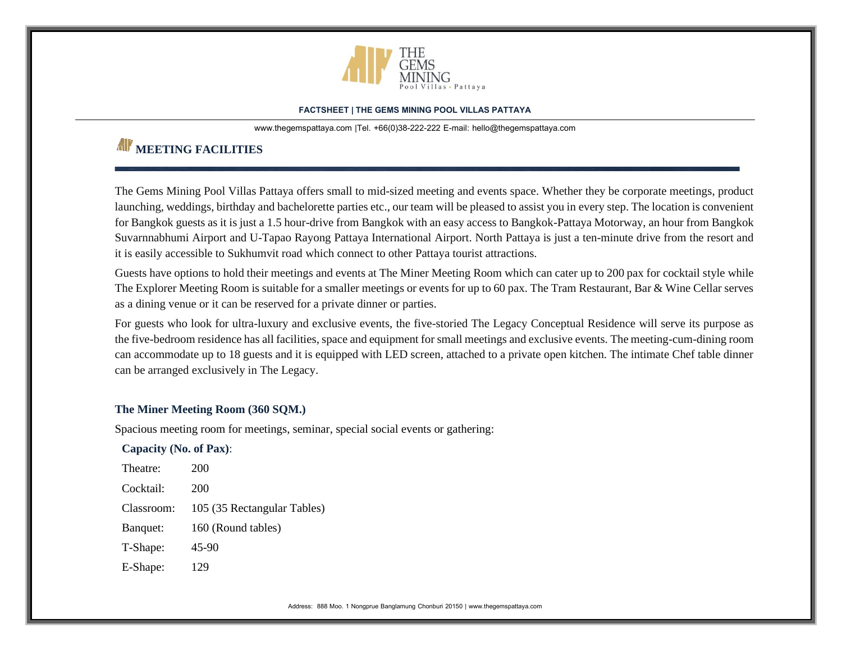

[www.thegemspattaya.com](http://www.thegemspattaya.com/) |Tel. +66(0)38-222-222 E-mail: hello@thegemspattaya.com

# **MEETING FACILITIES**

The Gems Mining Pool Villas Pattaya offers small to mid-sized meeting and events space. Whether they be corporate meetings, product launching, weddings, birthday and bachelorette parties etc., our team will be pleased to assist you in every step. The location is convenient for Bangkok guests as it is just a 1.5 hour-drive from Bangkok with an easy access to Bangkok-Pattaya Motorway, an hour from Bangkok Suvarnnabhumi Airport and U-Tapao Rayong Pattaya International Airport. North Pattaya is just a ten-minute drive from the resort and it is easily accessible to Sukhumvit road which connect to other Pattaya tourist attractions.

Guests have options to hold their meetings and events at The Miner Meeting Room which can cater up to 200 pax for cocktail style while The Explorer Meeting Room is suitable for a smaller meetings or events for up to 60 pax. The Tram Restaurant, Bar & Wine Cellar serves as a dining venue or it can be reserved for a private dinner or parties.

For guests who look for ultra-luxury and exclusive events, the five-storied The Legacy Conceptual Residence will serve its purpose as the five-bedroom residence has all facilities, space and equipment for small meetings and exclusive events. The meeting-cum-dining room can accommodate up to 18 guests and it is equipped with LED screen, attached to a private open kitchen. The intimate Chef table dinner can be arranged exclusively in The Legacy.

# **The Miner Meeting Room (360 SQM.)**

Spacious meeting room for meetings, seminar, special social events or gathering:

**Capacity (No. of Pax)**:

| Theatre:   | 200                         |
|------------|-----------------------------|
| Cocktail:  | 200                         |
| Classroom: | 105 (35 Rectangular Tables) |
| Banquet:   | 160 (Round tables)          |
| T-Shape:   | 45-90                       |
|            |                             |

E-Shape: 129

Address: 888 Moo. 1 Nongprue Banglamung Chonburi 20150 | www.thegemspattaya.com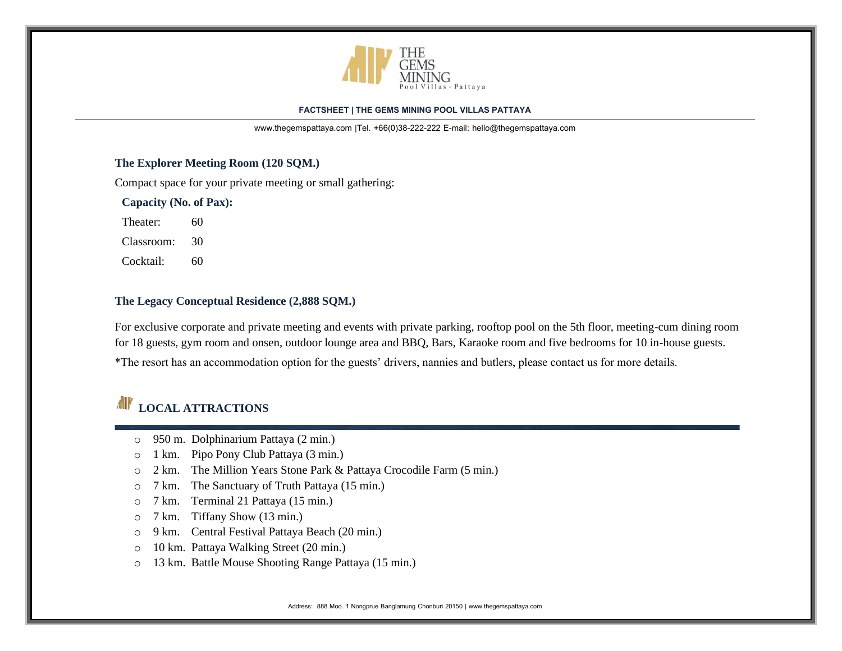

[www.thegemspattaya.com](http://www.thegemspattaya.com/) |Tel. +66(0)38-222-222 E-mail: hello@thegemspattaya.com

# **The Explorer Meeting Room (120 SQM.)**

Compact space for your private meeting or small gathering:

**Capacity (No. of Pax):**

Theater: 60

Classroom: 30

Cocktail: 60

# **The Legacy Conceptual Residence (2,888 SQM.)**

For exclusive corporate and private meeting and events with private parking, rooftop pool on the 5th floor, meeting-cum dining room for 18 guests, gym room and onsen, outdoor lounge area and BBQ, Bars, Karaoke room and five bedrooms for 10 in-house guests.

\*The resort has an accommodation option for the guests' drivers, nannies and butlers, please contact us for more details.

# **LOCAL ATTRACTIONS**

- o 950 m. Dolphinarium Pattaya (2 min.)
- o 1 km. Pipo Pony Club Pattaya (3 min.)
- o 2 km. The Million Years Stone Park & Pattaya Crocodile Farm (5 min.)
- o 7 km. The Sanctuary of Truth Pattaya (15 min.)
- o 7 km. Terminal 21 Pattaya (15 min.)
- o 7 km. Tiffany Show (13 min.)
- o 9 km. Central Festival Pattaya Beach (20 min.)
- o 10 km. Pattaya Walking Street (20 min.)
- o 13 km. Battle Mouse Shooting Range Pattaya (15 min.)

Address: 888 Moo. 1 Nongprue Banglamung Chonburi 20150 | www.thegemspattaya.com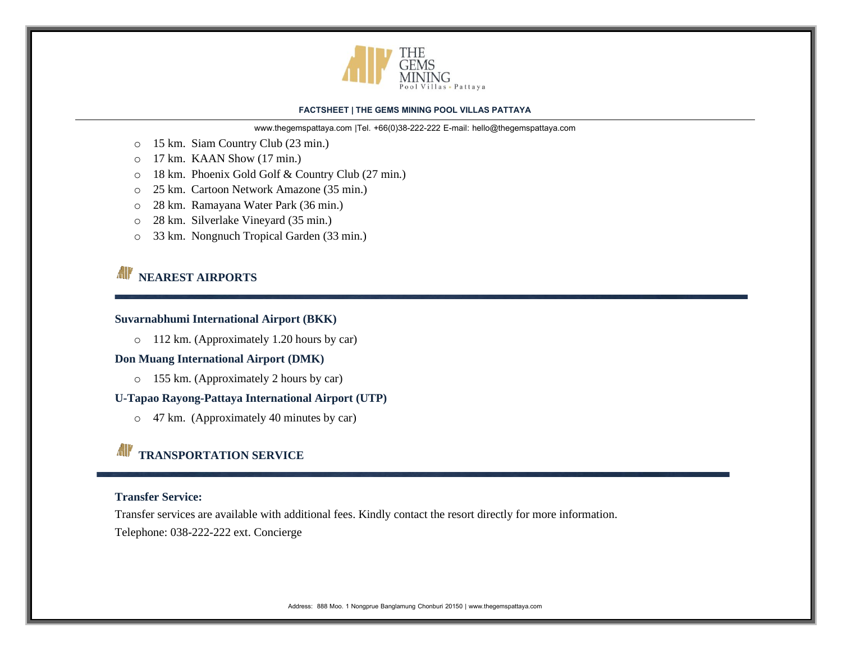

[www.thegemspattaya.com](http://www.thegemspattaya.com/) |Tel. +66(0)38-222-222 E-mail: hello@thegemspattaya.com

- o 15 km. Siam Country Club (23 min.)
- o 17 km. KAAN Show (17 min.)
- o 18 km. Phoenix Gold Golf & Country Club (27 min.)
- o 25 km. Cartoon Network Amazone (35 min.)
- o 28 km. Ramayana Water Park (36 min.)
- o 28 km. Silverlake Vineyard (35 min.)
- o 33 km. Nongnuch Tropical Garden (33 min.)

# **NEAREST AIRPORTS**

# **Suvarnabhumi International Airport (BKK)**

o 112 km. (Approximately 1.20 hours by car)

### **Don Muang International Airport (DMK)**

o 155 km. (Approximately 2 hours by car)

## **U-Tapao Rayong-Pattaya International Airport (UTP)**

o 47 km. (Approximately 40 minutes by car)

# **TRANSPORTATION SERVICE**

# **Transfer Service:**

Transfer services are available with additional fees. Kindly contact the resort directly for more information.

Telephone: 038-222-222 ext. Concierge